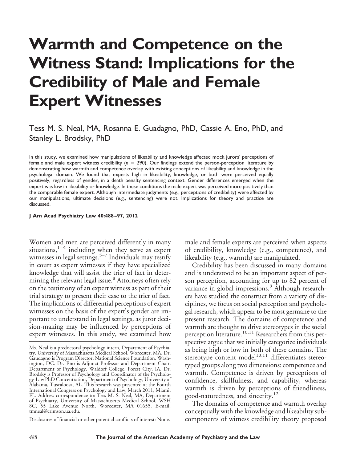# **Warmth and Competence on the Witness Stand: Implications for the Credibility of Male and Female Expert Witnesses**

## Tess M. S. Neal, MA, Rosanna E. Guadagno, PhD, Cassie A. Eno, PhD, and Stanley L. Brodsky, PhD

In this study, we examined how manipulations of likeability and knowledge affected mock jurors' perceptions of female and male expert witness credibility (*n* 290). Our findings extend the person-perception literature by demonstrating how warmth and competence overlap with existing conceptions of likeability and knowledge in the psycholegal domain. We found that experts high in likeability, knowledge, or both were perceived equally positively, regardless of gender, in a death penalty sentencing context. Gender differences emerged when the expert was low in likeability or knowledge. In these conditions the male expert was perceived more positively than the comparable female expert. Although intermediate judgments (e.g., perceptions of credibility) were affected by our manipulations, ultimate decisions (e.g., sentencing) were not. Implications for theory and practice are discussed.

#### **J Am Acad Psychiatry Law 40:488 –97, 2012**

Women and men are perceived differently in many  $\frac{1}{4}$  including when they serve as expert witnesses in legal settings.<sup>5–7</sup> Individuals may testify in court as expert witnesses if they have specialized knowledge that will assist the trier of fact in determining the relevant legal issue.<sup>8</sup> Attorneys often rely on the testimony of an expert witness as part of their trial strategy to present their case to the trier of fact. The implications of differential perceptions of expert witnesses on the basis of the expert's gender are important to understand in legal settings, as juror decision-making may be influenced by perceptions of expert witnesses. In this study, we examined how

Disclosures of financial or other potential conflicts of interest: None.

male and female experts are perceived when aspects of credibility, knowledge (e.g., competence), and likeability (e.g., warmth) are manipulated.

Credibility has been discussed in many domains and is understood to be an important aspect of person perception, accounting for up to 82 percent of variance in global impressions.<sup>9</sup> Although researchers have studied the construct from a variety of disciplines, we focus on social perception and psycholegal research, which appear to be most germane to the present research. The domains of competence and warmth are thought to drive stereotypes in the social perception literature.<sup>10,11</sup> Researchers from this perspective argue that we initially categorize individuals as being high or low in both of these domains. The stereotype content model $10,11$  differentiates stereotyped groups along two dimensions: competence and warmth. Competence is driven by perceptions of confidence, skillfulness, and capability, whereas warmth is driven by perceptions of friendliness, good-naturedness, and sincerity.<sup>12</sup>

The domains of competence and warmth overlap conceptually with the knowledge and likeability subcomponents of witness credibility theory proposed

Ms. Neal is a predoctoral psychology intern, Department of Psychiatry, University of Massachusetts Medical School, Worcester, MA. Dr. Gaudagno is Program Director, National Science Foundation, Washington, DC. Dr. Eno is Adjunct Professor and Department Chair, Department of Psychology, Waldorf College, Forest City, IA. Dr. Brodsky is Professor of Psychology and Coordinator of the Psychology-Law PhD Concentration, Department of Psychology, University of Alabama, Tuscaloosa, AL. This research was presented at the Fourth International Congress on Psychology and Law, March 2011, Miami, FL. Address correspondence to: Tess M. S. Neal, MA, Department of Psychiatry, University of Massachusetts Medical School, WSH 8C, 55 Lake Avenue North, Worcester, MA 01655. E-mail: tmneal@crimson.ua.edu.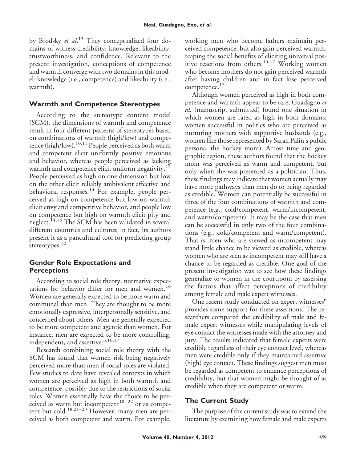by Brodsky *et al*. <sup>13</sup> They conceptualized four domains of witness credibility: knowledge, likeability, trustworthiness, and confidence. Relevant to the present investigation, conceptions of competence and warmth converge with two domains in this model: knowledge (i.e., competence) and likeability (i.e., warmth).

## **Warmth and Competence Stereotypes**

According to the stereotype content model (SCM), the dimensions of warmth and competence result in four different patterns of stereotypes based on combinations of warmth (high/low) and competence (high/low).<sup>10,11</sup> People perceived as both warm and competent elicit uniformly positive emotions and behavior, whereas people perceived as lacking warmth and competence elicit uniform negativity.<sup>14</sup> People perceived as high on one dimension but low on the other elicit reliably ambivalent affective and behavioral responses.<sup>14</sup> For example, people perceived as high on competence but low on warmth elicit envy and competitive behavior, and people low on competence but high on warmth elicit pity and neglect.<sup>14,15</sup> The SCM has been validated in several different countries and cultures; in fact, its authors present it as a pancultural tool for predicting group stereotypes.<sup>12</sup>

## **Gender Role Expectations and Perceptions**

According to social role theory, normative expectations for behavior differ for men and women.<sup>16</sup> Women are generally expected to be more warm and communal than men. They are thought to be more emotionally expressive, interpersonally sensitive, and concerned about others. Men are generally expected to be more competent and agentic than women. For instance, men are expected to be more controlling, independent, and assertive.<sup>3,16,17</sup>

Research combining social role theory with the SCM has found that women risk being negatively perceived more than men if social roles are violated. Few studies to date have revealed contexts in which women are perceived as high in both warmth and competence, possibly due to the restrictions of social roles. Women essentially have the choice to be perceived as warm but incompetent<sup>18-22</sup> or as competent but cold.<sup>18,21–23</sup> However, many men are perceived as both competent and warm. For example,

working men who become fathers maintain perceived competence, but also gain perceived warmth, reaping the social benefits of eliciting universal positive reactions from others.<sup>14,17</sup> Working women who become mothers do not gain perceived warmth after having children and in fact lose perceived competence.<sup>17</sup>

Although women perceived as high in both competence and warmth appear to be rare, Guadagno *et al.* (manuscript submitted) found one situation in which women are rated as high in both domains: women successful in politics who are perceived as nurturing mothers with supportive husbands (e.g., women like those represented by Sarah Palin's public persona, the hockey mom). Across time and geographic region, these authors found that the hockey mom was perceived as warm and competent, but only when she was presented as a politician. Thus, these findings may indicate that women actually may have more pathways than men do to being regarded as credible. Women can potentially be successful in three of the four combinations of warmth and competence (e.g., cold/competent, warm/incompetent, and warm/competent). It may be the case that men can be successful in only two of the four combinations (e.g., cold/competent and warm/competent). That is, men who are viewed as incompetent may stand little chance to be viewed as credible, whereas women who are seen as incompetent may still have a chance to be regarded as credible. One goal of the present investigation was to see how these findings generalize to women in the courtroom by assessing the factors that affect perceptions of credibility among female and male expert witnesses.

One recent study conducted on expert witnesses<sup>6</sup> provides some support for these assertions. The researchers compared the credibility of male and female expert witnesses while manipulating levels of eye contact the witnesses made with the attorney and jury. The results indicated that female experts were credible regardless of their eye contact level, whereas men were credible only if they maintained assertive (high) eye contact. These findings suggest men must be regarded as competent to enhance perceptions of credibility, but that women might be thought of as credible when they are competent or warm.

## **The Current Study**

The purpose of the current study was to extend the literature by examining how female and male experts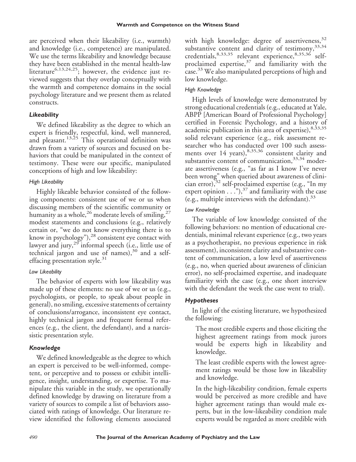are perceived when their likeability (i.e., warmth) and knowledge (i.e., competence) are manipulated. We use the terms likeability and knowledge because they have been established in the mental health-law literature<sup>6,13,24,25</sup>; however, the evidence just reviewed suggests that they overlap conceptually with the warmth and competence domains in the social psychology literature and we present them as related constructs.

#### *Likeability*

We defined likeability as the degree to which an expert is friendly, respectful, kind, well mannered, and pleasant.<sup>13,25</sup> This operational definition was drawn from a variety of sources and focused on behaviors that could be manipulated in the context of testimony. These were our specific, manipulated conceptions of high and low likeability:

## *High Likeability*

Highly likeable behavior consisted of the following components: consistent use of we or us when discussing members of the scientific community or humanity as a whole,<sup>26</sup> moderate levels of smiling,<sup>27</sup> modest statements and conclusions (e.g., relatively certain or, "we do not know everything there is to know in psychology"),<sup>28</sup> consistent eye contact with lawyer and jury, $29$  informal speech (i.e., little use of technical jargon and use of names),<sup>30</sup> and a selfeffacing presentation style. $31$ 

## *Low Likeability*

The behavior of experts with low likeability was made up of these elements: no use of we or us (e.g., psychologists, or people, to speak about people in general), no smiling, excessive statements of certainty of conclusions/arrogance, inconsistent eye contact, highly technical jargon and frequent formal references (e.g., the client, the defendant), and a narcissistic presentation style.

## *Knowledge*

We defined knowledgeable as the degree to which an expert is perceived to be well-informed, competent, or perceptive and to possess or exhibit intelligence, insight, understanding, or expertise. To manipulate this variable in the study, we operationally defined knowledge by drawing on literature from a variety of sources to compile a list of behaviors associated with ratings of knowledge. Our literature review identified the following elements associated

with high knowledge: degree of assertiveness,  $32$ substantive content and clarity of testimony,  $33,34$ credentials, 8,33,35 relevant experience, 8,35,36 selfproclaimed expertise, $37$  and familiarity with the case.<sup>33</sup> We also manipulated perceptions of high and low knowledge.

## *High Knowledge*

High levels of knowledge were demonstrated by strong educational credentials (e.g., educated at Yale, ABPP [American Board of Professional Psychology] certified in Forensic Psychology, and a history of academic publication in this area of expertise), 8,33,35 solid relevant experience (e.g., risk assessment researcher who has conducted over 100 such assessments over 14 years), 8,35,36 consistent clarity and substantive content of communication,  $33,34$  moderate assertiveness (e.g., "as far as I know I've never been wrong" when queried about awareness of clinician error), $32$  self-proclaimed expertise (e.g., "In my expert opinion  $\ldots$ ."),<sup>37</sup> and familiarity with the case (e.g., multiple interviews with the defendant).  $33$ 

## *Low Knowledge*

The variable of low knowledge consisted of the following behaviors: no mention of educational credentials, minimal relevant experience (e.g., two years as a psychotherapist, no previous experience in risk assessment), inconsistent clarity and substantive content of communication, a low level of assertiveness (e.g., no, when queried about awareness of clinician error), no self-proclaimed expertise, and inadequate familiarity with the case (e.g., one short interview with the defendant the week the case went to trial).

## *Hypotheses*

In light of the existing literature, we hypothesized the following:

The most credible experts and those eliciting the highest agreement ratings from mock jurors would be experts high in likeability and knowledge.

The least credible experts with the lowest agreement ratings would be those low in likeability and knowledge.

In the high-likeability condition, female experts would be perceived as more credible and have higher agreement ratings than would male experts, but in the low-likeability condition male experts would be regarded as more credible with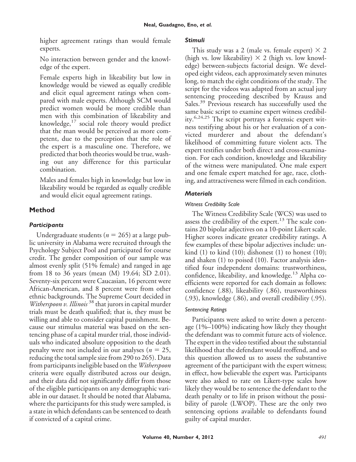higher agreement ratings than would female experts.

No interaction between gender and the knowledge of the expert.

Female experts high in likeability but low in knowledge would be viewed as equally credible and elicit equal agreement ratings when compared with male experts. Although SCM would predict women would be more credible than men with this combination of likeability and knowledge, $17$  social role theory would predict that the man would be perceived as more competent, due to the perception that the role of the expert is a masculine one. Therefore, we predicted that both theories would be true, washing out any difference for this particular combination.

Males and females high in knowledge but low in likeability would be regarded as equally credible and would elicit equal agreement ratings.

## **Method**

## *Participants*

Undergraduate students ( $n = 265$ ) at a large public university in Alabama were recruited through the Psychology Subject Pool and participated for course credit. The gender composition of our sample was almost evenly split (51% female) and ranged in age from 18 to 36 years (mean (M) 19.64; SD 2.01). Seventy-six percent were Caucasian, 16 percent were African-American, and 8 percent were from other ethnic backgrounds. The Supreme Court decided in *Witherspoon v. Illinois* <sup>38</sup> that jurors in capital murder trials must be death qualified; that is, they must be willing and able to consider capital punishment. Because our stimulus material was based on the sentencing phase of a capital murder trial, those individuals who indicated absolute opposition to the death penalty were not included in our analyses ( $n = 25$ , reducing the total sample size from 290 to 265). Data from participants ineligible based on the *Witherspoon* criteria were equally distributed across our design, and their data did not significantly differ from those of the eligible participants on any demographic variable in our dataset. It should be noted that Alabama, where the participants for this study were sampled, is a state in which defendants can be sentenced to death if convicted of a capital crime.

#### *Stimuli*

This study was a 2 (male vs. female expert)  $\times$  2 (high vs. low likeability)  $\times$  2 (high vs. low knowledge) between-subjects factorial design. We developed eight videos, each approximately seven minutes long, to match the eight conditions of the study. The script for the videos was adapted from an actual jury sentencing proceeding described by Krauss and Sales.<sup>39</sup> Previous research has successfully used the same basic script to examine expert witness credibility.<sup>6,24,25</sup> The script portrays a forensic expert witness testifying about his or her evaluation of a convicted murderer and about the defendant's likelihood of committing future violent acts. The expert testifies under both direct and cross-examination. For each condition, knowledge and likeability of the witness were manipulated. One male expert and one female expert matched for age, race, clothing, and attractiveness were filmed in each condition.

## *Materials*

## *Witness Credibility Scale*

The Witness Credibility Scale (WCS) was used to assess the credibility of the expert. $13$  The scale contains 20 bipolar adjectives on a 10-point Likert scale. Higher scores indicate greater credibility ratings. A few examples of these bipolar adjectives include: unkind  $(1)$  to kind  $(10)$ ; dishonest  $(1)$  to honest  $(10)$ ; and shaken (1) to poised (10). Factor analysis identified four independent domains: trustworthiness, confidence, likeability, and knowledge.<sup>13</sup> Alpha coefficients were reported for each domain as follows: confidence (.88), likeability (.86), trustworthiness (.93), knowledge (.86), and overall credibility (.95).

#### *Sentencing Ratings*

Participants were asked to write down a percentage (1%–100%) indicating how likely they thought the defendant was to commit future acts of violence. The expert in the video testified about the substantial likelihood that the defendant would reoffend, and so this question allowed us to assess the substantive agreement of the participant with the expert witness; in effect, how believable the expert was. Participants were also asked to rate on Likert-type scales how likely they would be to sentence the defendant to the death penalty or to life in prison without the possibility of parole (LWOP). These are the only two sentencing options available to defendants found guilty of capital murder.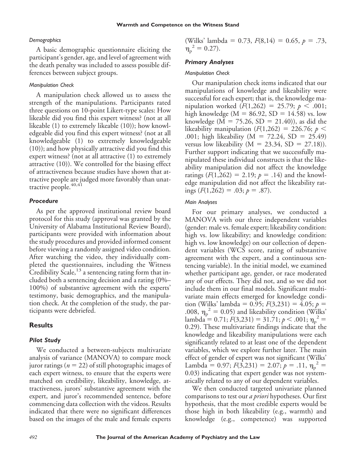#### *Demographics*

A basic demographic questionnaire eliciting the participant's gender, age, and level of agreement with the death penalty was included to assess possible differences between subject groups.

#### *Manipulation Check*

A manipulation check allowed us to assess the strength of the manipulations. Participants rated three questions on 10-point Likert-type scales: How likeable did you find this expert witness? (not at all likeable (1) to extremely likeable (10)); how knowledgeable did you find this expert witness? (not at all knowledgeable (1) to extremely knowledgeable (10)); and how physically attractive did you find this expert witness? (not at all attractive (1) to extremely attractive (10)). We controlled for the biasing effect of attractiveness because studies have shown that attractive people are judged more favorably than unattractive people.<sup>40,41</sup>

#### *Procedure*

As per the approved institutional review board protocol for this study (approval was granted by the University of Alabama Institutional Review Board), participants were provided with information about the study procedures and provided informed consent before viewing a randomly assigned video condition. After watching the video, they individually completed the questionnaires, including the Witness Credibility Scale,  $13$  a sentencing rating form that included both a sentencing decision and a rating (0%– 100%) of substantive agreement with the experts' testimony, basic demographics, and the manipulation check. At the completion of the study, the participants were debriefed.

#### **Results**

#### *Pilot Study*

We conducted a between-subjects multivariate analysis of variance (MANOVA) to compare mock juror ratings ( $n = 22$ ) of still photographic images of each expert witness, to ensure that the experts were matched on credibility, likeability, knowledge, attractiveness, jurors' substantive agreement with the expert, and juror's recommended sentence, before commencing data collection with the videos. Results indicated that there were no significant differences based on the images of the male and female experts (Wilks' lambda = 0.73,  $F(8,14) = 0.65$ ,  $p = .73$ ,  $\eta_{\rm p}^2 = 0.27$ ).

#### *Primary Analyses*

#### *Manipulation Check*

Our manipulation check items indicated that our manipulations of knowledge and likeability were successful for each expert; that is, the knowledge manipulation worked  $(F(1,262) = 25.79; p < .001;$ high knowledge ( $M = 86.92$ ,  $SD = 14.58$ ) vs. low knowledge ( $M = 75.26$ ,  $SD = 21.40$ )), as did the likeability manipulation  $(F(1,262) = 226.76; p <$ .001; high likeability ( $M = 72.24$ , SD = 25.49) versus low likeability ( $M = 23.34$ , SD = 27.18)). Further support indicating that we successfully manipulated these individual constructs is that the likeability manipulation did not affect the knowledge ratings  $(F(1,262) = 2.19; p = .14)$  and the knowledge manipulation did not affect the likeability ratings  $(F(1,262) = .03; p = .87)$ .

#### *Main Analyses*

For our primary analyses, we conducted a MANOVA with our three independent variables (gender: male vs. female expert; likeability condition: high vs. low likeability; and knowledge condition: high vs. low knowledge) on our collection of dependent variables (WCS score, rating of substantive agreement with the expert, and a continuous sentencing variable). In the initial model, we examined whether participant age, gender, or race moderated any of our effects. They did not, and so we did not include them in our final models. Significant multivariate main effects emerged for knowledge condition (Wilks' lambda = 0.95;  $F(3,231) = 4.05$ ;  $p =$ .008,  $\eta_p^2 = 0.05$ ) and likeability condition (Wilks' lambda = 0.71;  $F(3,231) = 31.71$ ;  $p < .001$ ;  $\eta_p^2 =$ 0.29). These multivariate findings indicate that the knowledge and likeability manipulations were each significantly related to at least one of the dependent variables, which we explore further later. The main effect of gender of expert was not significant (Wilks' Lambda = 0.97;  $F(3,231) = 2.07$ ;  $p = .11$ ,  $\eta_p^2 =$ 0.03) indicating that expert gender was not systematically related to any of our dependent variables.

We then conducted targeted univariate planned comparisons to test our *a priori* hypotheses. Our first hypothesis, that the most credible experts would be those high in both likeability (e.g., warmth) and knowledge (e.g., competence) was supported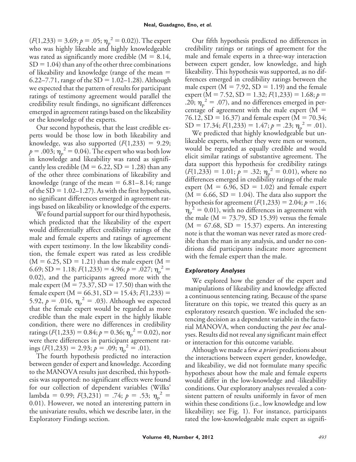$(F(1,233) = 3.69; p = .05; \eta_p^2 = 0.02)$ ). The expert who was highly likeable and highly knowledgeable was rated as significantly more credible  $(M = 8.14,$  $SD = 1.04$ ) than any of the other three combinations of likeability and knowledge (range of the mean 6.22–7.71, range of the  $SD = 1.02-1.28$ ). Although we expected that the pattern of results for participant ratings of testimony agreement would parallel the credibility result findings, no significant differences emerged in agreement ratings based on the likeability or the knowledge of the experts.

Our second hypothesis, that the least credible experts would be those low in both likeability and knowledge, was also supported  $(F(1,233) = 9.29;$  $p = .003$ ;  $\eta_p^2 = 0.04$ ). The expert who was both low in knowledge and likeability was rated as significantly less credible ( $M = 6.22$ ,  $SD = 1.28$ ) than any of the other three combinations of likeability and knowledge (range of the mean  $= 6.81-8.14$ ; range of the  $SD = 1.02-1.27$ . As with the first hypothesis, no significant differences emerged in agreement ratings based on likeability or knowledge of the experts.

We found partial support for our third hypothesis, which predicted that the likeability of the expert would differentially affect credibility ratings of the male and female experts and ratings of agreement with expert testimony. In the low likeability condition, the female expert was rated as less credible  $(M = 6.25, SD = 1.21)$  than the male expert  $(M =$ 6.69; SD = 1.18;  $F(1,233) = 4.96$ ;  $p = .027$ ;  $\eta_p^2 =$ 0.02), and the participants agreed more with the male expert ( $M = 73.37$ ,  $SD = 17.50$ ) than with the female expert ( $M = 66.31$ ,  $SD = 15.43$ ;  $F(1,233) =$ 5.92,  $p = .016$ ,  $\eta_p^2 = .03$ ). Although we expected that the female expert would be regarded as more credible than the male expert in the highly likable condition, there were no differences in credibility ratings ( $F(1,233) = 0.84; p = 0.36; \eta_p^2 = 0.02$ ), nor were there differences in participant agreement ratings ( $F(1,233) = 2.93; p = .09; \eta_p^2 = .01$ ).

The fourth hypothesis predicted no interaction between gender of expert and knowledge. According to the MANOVA results just described, this hypothesis was supported: no significant effects were found for our collection of dependent variables (Wilks' lambda = 0.99;  $F(3,231) = .74; p = .53; \eta_p^2 =$ 0.01). However, we noted an interesting pattern in the univariate results, which we describe later, in the Exploratory Findings section.

Our fifth hypothesis predicted no differences in credibility ratings or ratings of agreement for the male and female experts in a three-way interaction between expert gender, low knowledge, and high likeability. This hypothesis was supported, as no differences emerged in credibility ratings between the male expert ( $M = 7.92$ ,  $SD = 1.19$ ) and the female expert (M = 7.52, SD = 1.32;  $F(1,233) = 1.68; p =$ .20;  $\eta_p^2 = .07$ ), and no differences emerged in percentage of agreement with the male expert  $(M =$  $76.12$ , SD = 16.37) and female expert (M = 70.34; SD = 17.34;  $F(1,233) = 1.47; p = .23; \eta_p^2 = .01$ .

We predicted that highly knowledgeable but unlikeable experts, whether they were men or women, would be regarded as equally credible and would elicit similar ratings of substantive agreement. The data support this hypothesis for credibility ratings  $(F(1,233)) = 1.01; p = .32; \eta_p^2 = 0.01$ , where no differences emerged in credibility ratings of the male expert ( $M = 6.96$ ,  $SD = 1.02$ ) and female expert  $(M = 6.66, SD = 1.04)$ . The data also support the hypothesis for agreement  $(F(1,233) = 2.04; p = .16;$  $\eta_{\rm p}^2$  = 0.01), with no differences in agreement with the male ( $M = 73.79$ , SD 15.39) versus the female  $(M = 67.68, SD = 15.37)$  experts. An interesting note is that the woman was never rated as more credible than the man in any analysis, and under no conditions did participants indicate more agreement with the female expert than the male.

#### *Exploratory Analyses*

We explored how the gender of the expert and manipulations of likeability and knowledge affected a continuous sentencing rating. Because of the sparse literature on this topic, we treated this query as an exploratory research question. We included the sentencing decision as a dependent variable in the factorial MANOVA, when conducting the *post hoc* analyses. Results did not reveal any significant main effect or interaction for this outcome variable.

Although we made a few *a priori* predictions about the interactions between expert gender, knowledge, and likeability, we did not formulate many specific hypotheses about how the male and female experts would differ in the low-knowledge and -likeability conditions. Our exploratory analyses revealed a consistent pattern of results uniformly in favor of men within these conditions (i.e., low knowledge and low likeability; see Fig. 1). For instance, participants rated the low-knowledgeable male expert as signifi-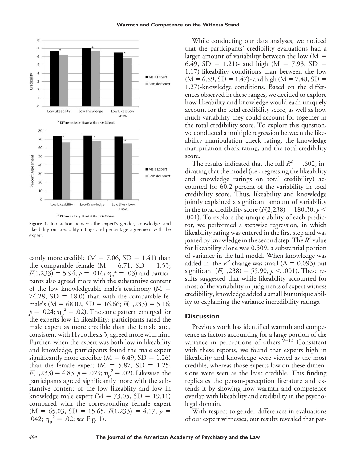#### **Warmth and Competence on the Witness Stand**



**Figure 1.** Interaction between the expert's gender, knowledge, and likeability on credibility ratings and percentage agreement with the expert.

cantly more credible ( $M = 7.06$ ,  $SD = 1.41$ ) than the comparable female ( $M = 6.71$ ,  $SD = 1.53$ ;  $F(1,233) = 5.94; p = .016; \eta_p^2 = .03$  and participants also agreed more with the substantive content of the low knowledgeable male's testimony  $(M =$ 74.28,  $SD = 18.0$ ) than with the comparable female's ( $M = 68.02$ ,  $SD = 16.66$ ;  $F(1,233) = 5.16$ ;  $p = .024; \eta_{\rm p}^{\ \ 2} = .02$ ). The same pattern emerged for the experts low in likeability: participants rated the male expert as more credible than the female and, consistent with Hypothesis 3, agreed more with him. Further, when the expert was both low in likeability and knowledge, participants found the male expert significantly more credible ( $M = 6.49$ ,  $SD = 1.26$ ) than the female expert  $(M = 5.87, SD = 1.25;$  $F(1,233) = 4.83; p = .029; \eta_p^2 = .02$ . Likewise, the participants agreed significantly more with the substantive content of the low likeablity and low in knowledge male expert  $(M = 73.05, SD = 19.11)$ compared with the corresponding female expert  $(M = 65.03, SD = 15.65; F(1,233) = 4.17; p =$ .042;  $\eta_{\rm p}^2 = .02$ ; see Fig. 1).

While conducting our data analyses, we noticed that the participants' credibility evaluations had a larger amount of variability between the low  $(M =$ 6.49, SD = 1.21)- and high (M = 7.93, SD = 1.17)-likeability conditions than between the low  $(M = 6.89, SD = 1.47)$ - and high  $(M = 7.48, SD =$ 1.27)-knowledge conditions. Based on the differences observed in these ranges, we decided to explore how likeability and knowledge would each uniquely account for the total credibility score, as well as how much variability they could account for together in the total credibility score. To explore this question, we conducted a multiple regression between the likeability manipulation check rating, the knowledge manipulation check rating, and the total credibility score.

The results indicated that the full  $R^2 = .602$ , indicating that the model (i.e., regressing the likeability and knowledge ratings on total credibility) accounted for 60.2 percent of the variability in total credibility score. Thus, likeability and knowledge jointly explained a significant amount of variability in the total credibility score  $(F(2, 238) = 180.30; p <$ .001). To explore the unique ability of each predictor, we performed a stepwise regression, in which likeability rating was entered in the first step and was joined by knowledge in the second step. The *R<sup>2</sup>* value for likeability alone was 0.509, a substantial portion of variance in the full model. When knowledge was added in, the  $R^2$  change was small ( $\Delta = 0.093$ ) but significant  $(F(1,238) = 55.90, p < .001)$ . These results suggested that while likeability accounted for most of the variability in judgments of expert witness credibility, knowledge added a small but unique ability to explaining the variance incredibility ratings.

#### **Discussion**

Previous work has identified warmth and competence as factors accounting for a large portion of the variance in perceptions of others.<sup>9-13</sup> Consistent with these reports, we found that experts high in likeability and knowledge were viewed as the most credible, whereas those experts low on these dimensions were seen as the least credible. This finding replicates the person-perception literature and extends it by showing how warmth and competence overlap with likeability and credibility in the psycholegal domain.

With respect to gender differences in evaluations of our expert witnesses, our results revealed that par-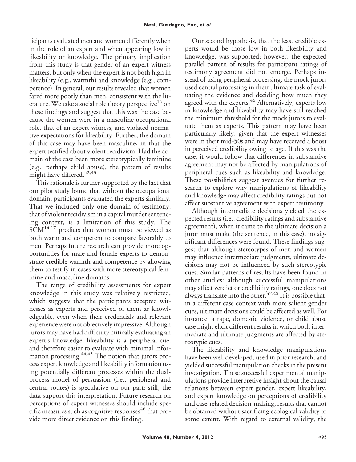ticipants evaluated men and women differently when in the role of an expert and when appearing low in likeability or knowledge. The primary implication from this study is that gender of an expert witness matters, but only when the expert is not both high in likeability (e.g., warmth) and knowledge (e.g., competence). In general, our results revealed that women fared more poorly than men, consistent with the literature. We take a social role theory perspective<sup>16</sup> on these findings and suggest that this was the case because the women were in a masculine occupational role, that of an expert witness, and violated normative expectations for likeability. Further, the domain of this case may have been masculine, in that the expert testified about violent recidivism. Had the domain of the case been more stereotypically feminine (e.g., perhaps child abuse), the pattern of results might have differed.<sup>42,43</sup>

This rationale is further supported by the fact that our pilot study found that without the occupational domain, participants evaluated the experts similarly. That we included only one domain of testimony, that of violent recidivism in a capital murder sentencing context, is a limitation of this study. The  $SCM<sup>14,17</sup>$  predicts that women must be viewed as both warm and competent to compare favorably to men. Perhaps future research can provide more opportunities for male and female experts to demonstrate credible warmth and competence by allowing them to testify in cases with more stereotypical feminine and masculine domains.

The range of credibility assessments for expert knowledge in this study was relatively restricted, which suggests that the participants accepted witnesses as experts and perceived of them as knowledgeable, even when their credentials and relevant experience were not objectively impressive. Although jurors may have had difficulty critically evaluating an expert's knowledge, likeability is a peripheral cue, and therefore easier to evaluate with minimal information processing.<sup>44,45</sup> The notion that jurors process expert knowledge and likeability information using potentially different processes within the dualprocess model of persuasion (i.e., peripheral and central routes) is speculative on our part; still, the data support this interpretation. Future research on perceptions of expert witnesses should include specific measures such as cognitive responses $46$  that provide more direct evidence on this finding.

Our second hypothesis, that the least credible experts would be those low in both likeability and knowledge, was supported; however, the expected parallel pattern of results for participant ratings of testimony agreement did not emerge. Perhaps instead of using peripheral processing, the mock jurors used central processing in their ultimate task of evaluating the evidence and deciding how much they agreed with the experts.<sup>46</sup> Alternatively, experts low in knowledge and likeability may have still reached the minimum threshold for the mock jurors to evaluate them as experts. This pattern may have been particularly likely, given that the expert witnesses were in their mid-50s and may have received a boost in perceived credibility owing to age. If this was the case, it would follow that differences in substantive agreement may not be affected by manipulations of peripheral cues such as likeability and knowledge. These possibilities suggest avenues for further research to explore why manipulations of likeability and knowledge may affect credibility ratings but not affect substantive agreement with expert testimony.

Although intermediate decisions yielded the expected results (i.e., credibility ratings and substantive agreement), when it came to the ultimate decision a juror must make (the sentence, in this case), no significant differences were found. These findings suggest that although stereotypes of men and women may influence intermediate judgments, ultimate decisions may not be influenced by such stereotypic cues. Similar patterns of results have been found in other studies: although successful manipulations may affect verdict or credibility ratings, one does not always translate into the other.<sup>47,48</sup> It is possible that, in a different case context with more salient gender cues, ultimate decisions could be affected as well. For instance, a rape, domestic violence, or child abuse case might elicit different results in which both intermediate and ultimate judgments are affected by stereotypic cues.

The likeability and knowledge manipulations have been well developed, used in prior research, and yielded successful manipulation checks in the present investigation. These successful experimental manipulations provide interpretive insight about the causal relations between expert gender, expert likeability, and expert knowledge on perceptions of credibility and case-related decision-making, results that cannot be obtained without sacrificing ecological validity to some extent. With regard to external validity, the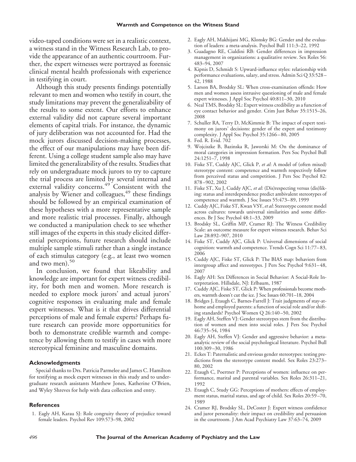video-taped conditions were set in a realistic context, a witness stand in the Witness Research Lab, to provide the appearance of an authentic courtroom. Further, the expert witnesses were portrayed as forensic clinical mental health professionals with experience in testifying in court.

Although this study presents findings potentially relevant to men and women who testify in court, the study limitations may prevent the generalizability of the results to some extent. Our efforts to enhance external validity did not capture several important elements of capital trials. For instance, the dynamic of jury deliberation was not accounted for. Had the mock jurors discussed decision-making processes, the effect of our manipulations may have been different. Using a college student sample also may have limited the generalizability of the results. Studies that rely on undergraduate mock jurors to try to capture the trial process are limited by several internal and external validity concerns.<sup>49</sup> Consistent with the analysis by Wiener and colleagues,<sup>49</sup> these findings should be followed by an empirical examination of these hypotheses with a more representative sample and more realistic trial processes. Finally, although we conducted a manipulation check to see whether still images of the experts in this study elicited differential perceptions, future research should include multiple sample stimuli rather than a single instance of each stimulus category (e.g., at least two women and two men). $50$ 

In conclusion, we found that likeability and knowledge are important for expert witness credibility, for both men and women. More research is needed to explore mock jurors' and actual jurors' cognitive responses in evaluating male and female expert witnesses. What is it that drives differential perceptions of male and female experts? Perhaps future research can provide more opportunities for both to demonstrate credible warmth and competence by allowing them to testify in cases with more stereotypical feminine and masculine domains.

#### **Acknowledgments**

Special thanks to Drs. Patricia Parmelee and James C. Hamilton for testifying as mock expert witnesses in this study and to undergraduate research assistants Matthew Jones, Katherine O'Brien, and Wyley Shreves for help with data collection and entry.

#### **References**

1. Eagly AH, Karau SJ: Role congruity theory of prejudice toward female leaders. Psychol Rev 109:573–98, 2002

- 2. Eagly AH, Makhijani MG, Klonsky BG: Gender and the evaluation of leaders: a meta-analysis. Psychol Bull 111:3–22, 1992
- 3. Guadagno RE, Cialdini RB: Gender differences in impression management in organizations: a qualitative review. Sex Roles 56: 483–94, 2007
- 4. Kipnis D, Schmidt S: Upward-influence styles: relationship with performance evaluations, salary, and stress. Admin Sci Q 33:528 – 42, 1988
- 5. Larson BA, Brodsky SL: When cross-examination offends: How men and women assess intrusive questioning of male and female expert witnesses. J Appl Soc Psychol 40:811–30, 2010
- 6. Neal TMS, Brodsky SL: Expert witness credibility as a function of eye contact behavior and gender. Crim Just Behav 35:1515–26, 2008
- 7. Schuller RA, Terry D, McKimmie B: The impact of expert testimony on jurors' decisions: gender of the expert and testimony complexity. J Appl Soc Psychol 35:1266 – 80, 2005
- 8. Fed. R. Evid. 702
- 9. Wojciszke B, Bazinska R, Jaworski M: On the dominance of moral categories in impression formation. Pers Soc Psychol Bull 24:1251–7, 1998
- 10. Fiske ST, Cuddy AJC, Glick P, *et al*: A model of (often mixed) stereotype content: competence and warmth respectively follow from perceived status and competition. J Pers Soc Psychol 82: 878 –902, 2002
- 11. Fiske ST, Xu J, Cuddy AJC, *et al*: (Dis)respecting versus (dis)liking: status and interdependence predict ambivalent stereotypes of competence and warmth. J Soc Issues 55:473– 89, 1999
- 12. Cuddy AJC, Fiske ST, Kwan VSY,*et al*: Stereotype content model across cultures: towards universal similarities and some differences. Br J Soc Psychol 48:1–33, 2009
- 13. Brodsky SL, Griffin MP, Cramer RJ: The Witness Credibility Scale: an outcome measure for expert witness research. Behav Sci Law 28:892–907*,* 2010
- 14. Fiske ST, Cuddy AJC, Glick P: Universal dimensions of social cognition: warmth and competence. Trends Cogn Sci 11:77– 83, 2006
- 15. Cuddy AJC, Fiske ST, Glick P: The BIAS map: behaviors from intergroup affect and stereotypes. J Pers Soc Psychol 9:631– 48, 2007
- 16. Eagly AH: Sex Differences in Social Behavior: A Social-Role Interpretation. Hillsdale, NJ: Erlbaum, 1987
- 17. Cuddy AJC, Fiske ST, Glick P: When professionals become mothers, warmth doesn't cut the ice. J Soc Issues 60:701–18, 2004
- 18. Bridges J, Etaugh C, Barnes-Farrell J: Trait judgments of stay-athome and employed parents: a function of social role and/or shifting standards? Psychol Women Q 26:140 –50, 2002
- 19. Eagly AH, Steffen VJ: Gender stereotypes stem from the distribution of women and men into social roles. J Pers Soc Psychol 46:735–54, 1984
- 20. Eagly AH, Steffen VJ: Gender and aggressive behavior: a metaanalytic review of the social psychological literature. Psychol Bull 100:309 –30, 1986
- 21. Eckes T: Paternalistic and envious gender stereotypes: testing predictions from the stereotype content model. Sex Roles 23:273– 80, 2002
- 22. Etaugh C, Poertner P: Perceptions of women: influence on performance, marital and parental variables. Sex Roles 26:311–21, 1992
- 23. Etaugh C, Study GG: Perceptions of mothers: effects of employment status, marital status, and age of child. Sex Roles 20:59 –70, 1989
- 24. Cramer RJ, Brodsky SL, DeCoster J: Expert witness confidence and juror personality: their impact on credibility and persuasion in the courtroom. J Am Acad Psychiatry Law 37:63–74, 2009